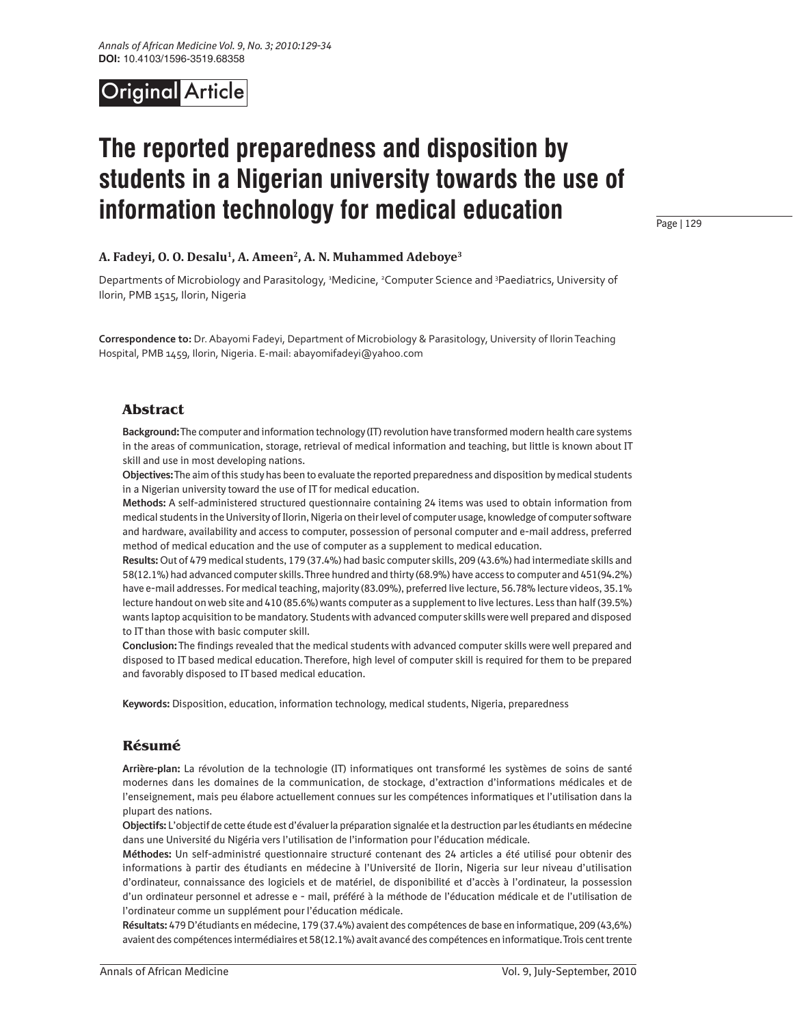## Original Article

# **The reported preparedness and disposition by students in a Nigerian university towards the use of information technology for medical education**

Page | 129

## A. Fadeyi, O. O. Desalu<sup>1</sup>, A. Ameen<sup>2</sup>, A. N. Muhammed Adeboye<sup>3</sup>

Departments of Microbiology and Parasitology, <sup>1</sup>Medicine, <sup>2</sup>Computer Science and <sup>3</sup>Paediatrics, University of Ilorin, PMB 1515, Ilorin, Nigeria

**Correspondence to:** Dr. Abayomi Fadeyi, Department of Microbiology & Parasitology, University of Ilorin Teaching Hospital, PMB 1459, Ilorin, Nigeria. E-mail: abayomifadeyi@yahoo.com

## **Abstract**

**Background:** The computer and information technology (IT) revolution have transformed modern health care systems in the areas of communication, storage, retrieval of medical information and teaching, but little is known about IT skill and use in most developing nations.

**Objectives:** The aim of this study has been to evaluate the reported preparedness and disposition by medical students in a Nigerian university toward the use of IT for medical education.

**Methods:** A self-administered structured questionnaire containing 24 items was used to obtain information from medical students in the University of Ilorin, Nigeria on their level of computer usage, knowledge of computer software and hardware, availability and access to computer, possession of personal computer and e-mail address, preferred method of medical education and the use of computer as a supplement to medical education.

**Results:** Out of 479 medical students, 179 (37.4%) had basic computer skills, 209 (43.6%) had intermediate skills and 58(12.1%) had advanced computer skills. Three hundred and thirty (68.9%) have access to computer and 451(94.2%) have e-mail addresses. For medical teaching, majority (83.09%), preferred live lecture, 56.78% lecture videos, 35.1% lecture handout on web site and 410 (85.6%) wants computer as a supplement to live lectures. Less than half (39.5%) wants laptop acquisition to be mandatory. Students with advanced computer skills were well prepared and disposed to IT than those with basic computer skill.

**Conclusion:** The findings revealed that the medical students with advanced computer skills were well prepared and disposed to IT based medical education. Therefore, high level of computer skill is required for them to be prepared and favorably disposed to IT based medical education.

**Keywords:** Disposition, education, information technology, medical students, Nigeria, preparedness

## **Résumé**

**Arrière-plan:** La révolution de la technologie (IT) informatiques ont transformé les systèmes de soins de santé modernes dans les domaines de la communication, de stockage, d'extraction d'informations médicales et de l'enseignement, mais peu élabore actuellement connues sur les compétences informatiques et l'utilisation dans la plupart des nations.

**Objectifs:** L'objectif de cette étude est d'évaluer la préparation signalée et la destruction par les étudiants en médecine dans une Université du Nigéria vers l'utilisation de l'information pour l'éducation médicale.

**Méthodes:** Un self-administré questionnaire structuré contenant des 24 articles a été utilisé pour obtenir des informations à partir des étudiants en médecine à l'Université de Ilorin, Nigeria sur leur niveau d'utilisation d'ordinateur, connaissance des logiciels et de matériel, de disponibilité et d'accès à l'ordinateur, la possession d'un ordinateur personnel et adresse e - mail, préféré à la méthode de l'éducation médicale et de l'utilisation de l'ordinateur comme un supplément pour l'éducation médicale.

**Résultats:** 479 D'étudiants en médecine, 179 (37.4%) avaient des compétences de base en informatique, 209 (43,6%) avaient des compétences intermédiaires et 58(12.1%) avait avancé des compétences en informatique. Trois cent trente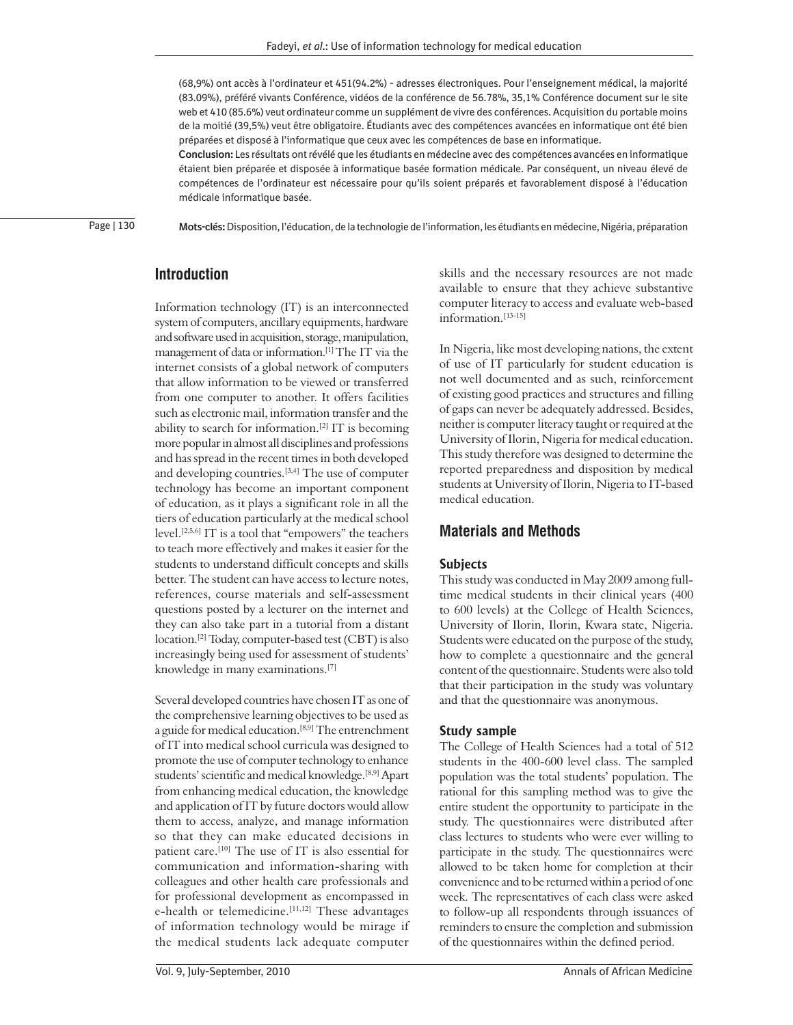(68,9%) ont accès à l'ordinateur et 451(94.2%) - adresses électroniques. Pour l'enseignement médical, la majorité (83.09%), préféré vivants Conférence, vidéos de la conférence de 56.78%, 35,1% Conférence document sur le site web et 410 (85.6%) veut ordinateur comme un supplément de vivre des conférences. Acquisition du portable moins de la moitié (39,5%) veut être obligatoire. Étudiants avec des compétences avancées en informatique ont été bien préparées et disposé à l'informatique que ceux avec les compétences de base en informatique.

**Conclusion:** Les résultats ont révélé que les étudiants en médecine avec des compétences avancées en informatique étaient bien préparée et disposée à informatique basée formation médicale. Par conséquent, un niveau élevé de compétences de l'ordinateur est nécessaire pour qu'ils soient préparés et favorablement disposé à l'éducation médicale informatique basée.

Page | 130

**Mots-clés:** Disposition, l'éducation, de la technologie de l'information, les étudiants en médecine, Nigéria, préparation

## **Introduction**

Information technology (IT) is an interconnected system of computers, ancillary equipments, hardware and software used in acquisition, storage, manipulation, management of data or information.[1] The IT via the internet consists of a global network of computers that allow information to be viewed or transferred from one computer to another. It offers facilities such as electronic mail, information transfer and the ability to search for information.[2] IT is becoming more popular in almost all disciplines and professions and has spread in the recent times in both developed and developing countries.[3,4] The use of computer technology has become an important component of education, as it plays a significant role in all the tiers of education particularly at the medical school level.[2,5,6] IT is a tool that "empowers" the teachers to teach more effectively and makes it easier for the students to understand difficult concepts and skills better. The student can have access to lecture notes, references, course materials and self-assessment questions posted by a lecturer on the internet and they can also take part in a tutorial from a distant location.[2] Today, computer-based test (CBT) is also increasingly being used for assessment of students' knowledge in many examinations.[7]

Several developed countries have chosen IT as one of the comprehensive learning objectives to be used as a guide for medical education.[8,9] The entrenchment of IT into medical school curricula was designed to promote the use of computer technology to enhance students' scientific and medical knowledge.[8,9] Apart from enhancing medical education, the knowledge and application of IT by future doctors would allow them to access, analyze, and manage information so that they can make educated decisions in patient care.[10] The use of IT is also essential for communication and information-sharing with colleagues and other health care professionals and for professional development as encompassed in e-health or telemedicine.<sup>[11,12]</sup> These advantages of information technology would be mirage if the medical students lack adequate computer

skills and the necessary resources are not made available to ensure that they achieve substantive computer literacy to access and evaluate web-based information.[13-15]

In Nigeria, like most developing nations, the extent of use of IT particularly for student education is not well documented and as such, reinforcement of existing good practices and structures and filling of gaps can never be adequately addressed. Besides, neither is computer literacy taught or required at the University of Ilorin, Nigeria for medical education. This study therefore was designed to determine the reported preparedness and disposition by medical students at University of Ilorin, Nigeria to IT-based medical education.

## **Materials and Methods**

#### **Subjects**

This study was conducted in May 2009 among fulltime medical students in their clinical years (400 to 600 levels) at the College of Health Sciences, University of Ilorin, Ilorin, Kwara state, Nigeria. Students were educated on the purpose of the study, how to complete a questionnaire and the general content of the questionnaire. Students were also told that their participation in the study was voluntary and that the questionnaire was anonymous.

#### **Study sample**

The College of Health Sciences had a total of 512 students in the 400-600 level class. The sampled population was the total students' population. The rational for this sampling method was to give the entire student the opportunity to participate in the study. The questionnaires were distributed after class lectures to students who were ever willing to participate in the study. The questionnaires were allowed to be taken home for completion at their convenience and to be returned within a period of one week. The representatives of each class were asked to follow-up all respondents through issuances of reminders to ensure the completion and submission of the questionnaires within the defined period.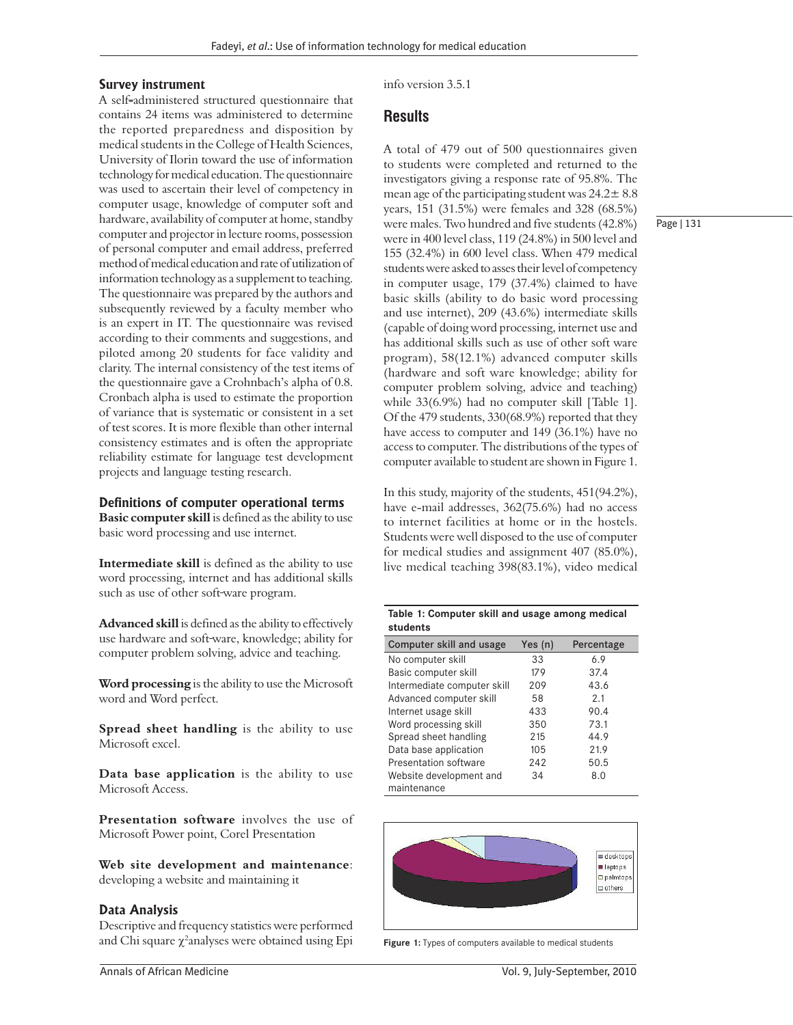#### **Survey instrument**

A self-administered structured questionnaire that contains 24 items was administered to determine the reported preparedness and disposition by medical students in the College of Health Sciences, University of Ilorin toward the use of information technology for medical education. The questionnaire was used to ascertain their level of competency in computer usage, knowledge of computer soft and hardware, availability of computer at home, standby computer and projector in lecture rooms, possession of personal computer and email address, preferred method of medical education and rate of utilization of information technology as a supplement to teaching. The questionnaire was prepared by the authors and subsequently reviewed by a faculty member who is an expert in IT. The questionnaire was revised according to their comments and suggestions, and piloted among 20 students for face validity and clarity. The internal consistency of the test items of the questionnaire gave a Crohnbach's alpha of 0.8. Cronbach alpha is used to estimate the proportion of variance that is systematic or consistent in a set of test scores. It is more flexible than other internal consistency estimates and is often the appropriate reliability estimate for language test development projects and language testing research.

## **Definitions of computer operational terms Basic computer skill** is defined as the ability to use

basic word processing and use internet.

**Intermediate skill** is defined as the ability to use word processing, internet and has additional skills such as use of other soft-ware program.

**Advanced skill** is defined as the ability to effectively use hardware and soft ware, knowledge; ability for computer problem solving, advice and teaching.

**Word processing** is the ability to use the Microsoft word and Word perfect.

**Spread sheet handling** is the ability to use Microsoft excel.

**Data base application** is the ability to use Microsoft Access.

**Presentation software** involves the use of Microsoft Power point, Corel Presentation

**Web site development and maintenance**: developing a website and maintaining it

## **Data Analysis**

Descriptive and frequency statistics were performed and Chi square χ<sup>2</sup>analyses were obtained using Epi info version 3.5.1

## **Results**

A total of 479 out of 500 questionnaires given to students were completed and returned to the investigators giving a response rate of 95.8%. The mean age of the participating student was  $24.2 \pm 8.8$ years, 151 (31.5%) were females and 328 (68.5%) were males. Two hundred and five students (42.8%) were in 400 level class, 119 (24.8%) in 500 level and 155 (32.4%) in 600 level class. When 479 medical students were asked to asses their level of competency in computer usage, 179 (37.4%) claimed to have basic skills (ability to do basic word processing and use internet), 209 (43.6%) intermediate skills (capable of doing word processing, internet use and has additional skills such as use of other soft ware program), 58(12.1%) advanced computer skills (hardware and soft ware knowledge; ability for computer problem solving, advice and teaching) while 33(6.9%) had no computer skill [Table 1]. Of the 479 students, 330(68.9%) reported that they have access to computer and 149 (36.1%) have no access to computer. The distributions of the types of computer available to student are shown in Figure 1.

In this study, majority of the students, 451(94.2%), have e-mail addresses, 362(75.6%) had no access to internet facilities at home or in the hostels. Students were well disposed to the use of computer for medical studies and assignment 407 (85.0%), live medical teaching 398(83.1%), video medical

**Table 1: Computer skill and usage among medical** 

| students                    |                 |            |
|-----------------------------|-----------------|------------|
| Computer skill and usage    | Yes (n)         | Percentage |
| No computer skill           | 33              | 6.9        |
| Basic computer skill        | 179             | 37.4       |
| Intermediate computer skill | 209             | 43.6       |
| Advanced computer skill     | 58              | 2.1        |
| Internet usage skill        | 433             | 90.4       |
| Word processing skill       | 350             | 73.1       |
| Spread sheet handling       | 215             | 44.9       |
| Data base application       | 10 <sub>5</sub> | 21.9       |
| Presentation software       | 242             | 50.5       |
| Website development and     | 34              | 8.0        |
| maintenance                 |                 |            |



**Figure 1:** Types of computers available to medical students

Page | 131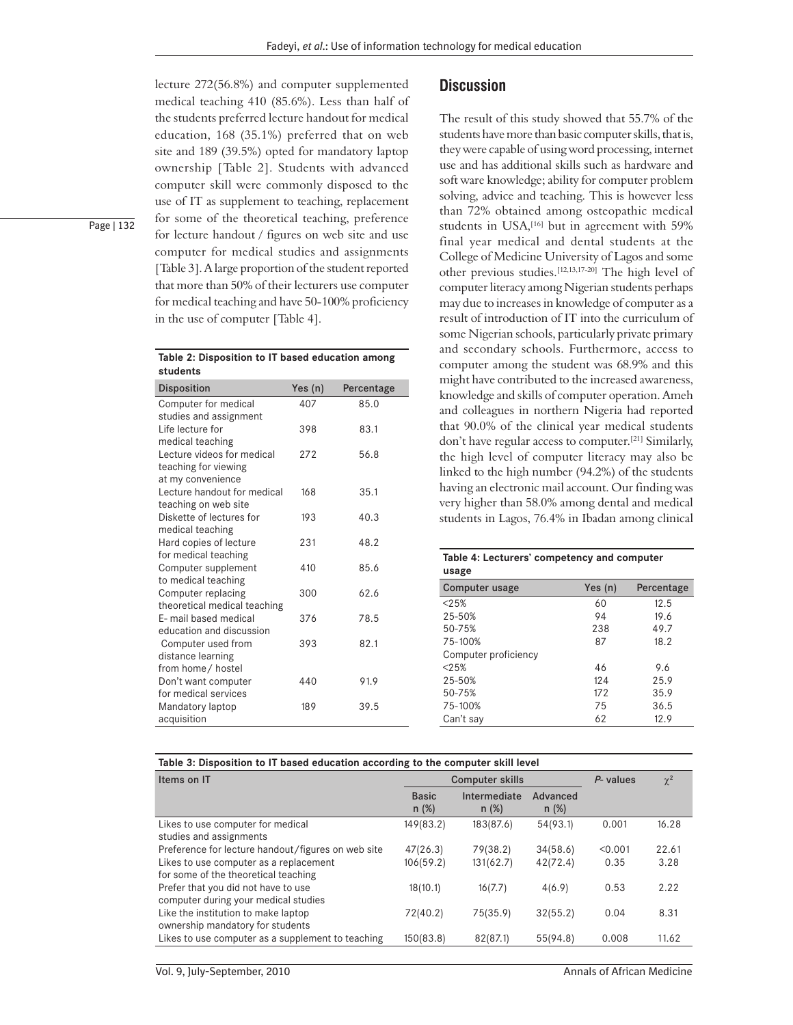lecture 272(56.8%) and computer supplemented medical teaching 410 (85.6%). Less than half of the students preferred lecture handout for medical education, 168 (35.1%) preferred that on web site and 189 (39.5%) opted for mandatory laptop ownership [Table 2]. Students with advanced computer skill were commonly disposed to the use of IT as supplement to teaching, replacement for some of the theoretical teaching, preference for lecture handout / figures on web site and use computer for medical studies and assignments [Table 3]. A large proportion of the student reported that more than 50% of their lecturers use computer for medical teaching and have 50-100% proficiency in the use of computer [Table 4].

#### **Table 2: Disposition to IT based education among students**

| <b>Disposition</b>                                                                                                                                                                                            | Yes (n)                  | Percentage                   |
|---------------------------------------------------------------------------------------------------------------------------------------------------------------------------------------------------------------|--------------------------|------------------------------|
| Computer for medical                                                                                                                                                                                          | 407                      | 85.0                         |
| studies and assignment<br>Life lecture for                                                                                                                                                                    | 398                      | 83.1                         |
| medical teaching                                                                                                                                                                                              |                          |                              |
| Lecture videos for medical                                                                                                                                                                                    | 272                      | 56.8                         |
| teaching for viewing                                                                                                                                                                                          |                          |                              |
| at my convenience                                                                                                                                                                                             |                          |                              |
| Lecture handout for medical<br>teaching on web site                                                                                                                                                           | 168                      | 35.1                         |
| Diskette of lectures for                                                                                                                                                                                      | 193                      | 40.3                         |
| medical teaching                                                                                                                                                                                              |                          |                              |
| Hard copies of lecture                                                                                                                                                                                        | 231                      | 48.2                         |
| for medical teaching                                                                                                                                                                                          |                          |                              |
|                                                                                                                                                                                                               |                          |                              |
|                                                                                                                                                                                                               |                          |                              |
|                                                                                                                                                                                                               |                          |                              |
| F- mail based medical                                                                                                                                                                                         | 376                      | 78.5                         |
| education and discussion                                                                                                                                                                                      |                          |                              |
| Computer used from                                                                                                                                                                                            | 393                      | 82.1                         |
|                                                                                                                                                                                                               |                          |                              |
|                                                                                                                                                                                                               |                          |                              |
|                                                                                                                                                                                                               |                          |                              |
|                                                                                                                                                                                                               |                          |                              |
| acquisition                                                                                                                                                                                                   |                          |                              |
| Computer supplement<br>to medical teaching<br>Computer replacing<br>theoretical medical teaching<br>distance learning<br>from home/ hostel<br>Don't want computer<br>for medical services<br>Mandatory laptop | 410<br>300<br>440<br>189 | 85.6<br>62.6<br>91.9<br>39.5 |

## **Discussion**

The result of this study showed that 55.7% of the students have more than basic computer skills, that is, they were capable of using word processing, internet use and has additional skills such as hardware and soft ware knowledge; ability for computer problem solving, advice and teaching. This is however less than 72% obtained among osteopathic medical students in USA,<sup>[16]</sup> but in agreement with 59% final year medical and dental students at the College of Medicine University of Lagos and some other previous studies.[12,13,17-20] The high level of computer literacy among Nigerian students perhaps may due to increases in knowledge of computer as a result of introduction of IT into the curriculum of some Nigerian schools, particularly private primary and secondary schools. Furthermore, access to computer among the student was 68.9% and this might have contributed to the increased awareness, knowledge and skills of computer operation. Ameh and colleagues in northern Nigeria had reported that 90.0% of the clinical year medical students don't have regular access to computer.[21] Similarly, the high level of computer literacy may also be linked to the high number (94.2%) of the students having an electronic mail account. Our finding was very higher than 58.0% among dental and medical students in Lagos, 76.4% in Ibadan among clinical

| Table 4: Lecturers' competency and computer<br>usage |         |            |  |  |  |  |
|------------------------------------------------------|---------|------------|--|--|--|--|
| Computer usage                                       | Yes (n) | Percentage |  |  |  |  |
| <25%                                                 | 60      | 12.5       |  |  |  |  |
| 25-50%                                               | 94      | 19.6       |  |  |  |  |
| 50-75%                                               | 238     | 49.7       |  |  |  |  |
| 75-100%                                              | 87      | 18.2       |  |  |  |  |
| Computer proficiency                                 |         |            |  |  |  |  |
| <25%                                                 | 46      | 9.6        |  |  |  |  |
| 25-50%                                               | 124     | 25.9       |  |  |  |  |
| 50-75%                                               | 172     | 35.9       |  |  |  |  |
| 75-100%                                              | 75      | 36.5       |  |  |  |  |
| Can't say                                            | 62      | 12.9       |  |  |  |  |

|  |  |  |  |  |  |  |  | Table 3: Disposition to IT based education according to the computer skill level |  |
|--|--|--|--|--|--|--|--|----------------------------------------------------------------------------------|--|
|--|--|--|--|--|--|--|--|----------------------------------------------------------------------------------|--|

| Items on IT                                                                    |                      | <b>Computer skills</b> | P- values        | $\chi^2$ |       |
|--------------------------------------------------------------------------------|----------------------|------------------------|------------------|----------|-------|
|                                                                                | <b>Basic</b><br>n(%) | Intermediate<br>n(%)   | Advanced<br>n(%) |          |       |
| Likes to use computer for medical<br>studies and assignments                   | 149(83.2)            | 183(87.6)              | 54(93.1)         | 0.001    | 16.28 |
| Preference for lecture handout/figures on web site                             | 47(26.3)             | 79(38.2)               | 34(58.6)         | < 0.001  | 22.61 |
| Likes to use computer as a replacement<br>for some of the theoretical teaching | 106(59.2)            | 131(62.7)              | 42(72.4)         | 0.35     | 3.28  |
| Prefer that you did not have to use<br>computer during your medical studies    | 18(10.1)             | 16(7.7)                | 4(6.9)           | 0.53     | 2.22  |
| Like the institution to make laptop<br>ownership mandatory for students        | 72(40.2)             | 75(35.9)               | 32(55.2)         | 0.04     | 8.31  |
| Likes to use computer as a supplement to teaching                              | 150(83.8)            | 82(87.1)               | 55(94.8)         | 0.008    | 11.62 |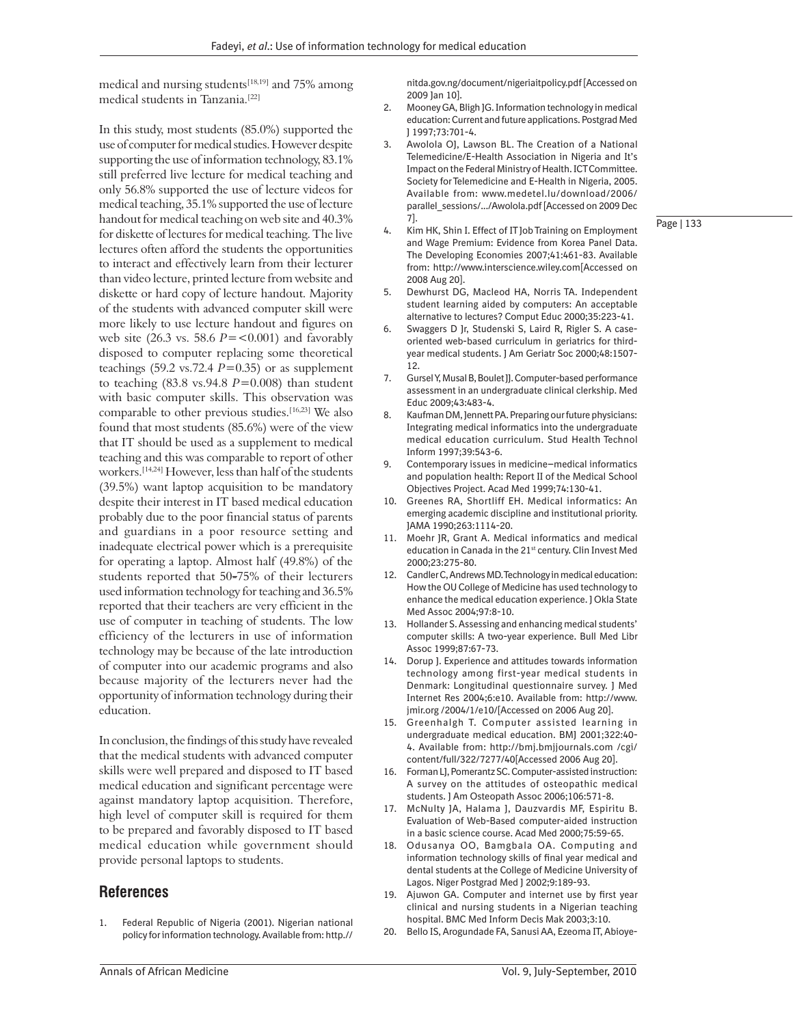medical and nursing students<sup>[18,19]</sup> and 75% among medical students in Tanzania.[22]

In this study, most students (85.0%) supported the use of computer for medical studies. However despite supporting the use of information technology, 83.1% still preferred live lecture for medical teaching and only 56.8% supported the use of lecture videos for medical teaching, 35.1% supported the use of lecture handout for medical teaching on web site and 40.3% for diskette of lectures for medical teaching. The live lectures often afford the students the opportunities to interact and effectively learn from their lecturer than video lecture, printed lecture from website and diskette or hard copy of lecture handout. Majority of the students with advanced computer skill were more likely to use lecture handout and figures on web site (26.3 vs. 58.6 *P*=<0.001) and favorably disposed to computer replacing some theoretical teachings (59.2 vs.72.4  $P=0.35$ ) or as supplement to teaching (83.8 vs.94.8 *P*=0.008) than student with basic computer skills. This observation was comparable to other previous studies.[16,23] We also found that most students (85.6%) were of the view that IT should be used as a supplement to medical teaching and this was comparable to report of other workers.[14,24] However, less than half of the students (39.5%) want laptop acquisition to be mandatory despite their interest in IT based medical education probably due to the poor financial status of parents and guardians in a poor resource setting and inadequate electrical power which is a prerequisite for operating a laptop. Almost half (49.8%) of the students reported that 50=75% of their lecturers used information technology for teaching and 36.5% reported that their teachers are very efficient in the use of computer in teaching of students. The low efficiency of the lecturers in use of information technology may be because of the late introduction of computer into our academic programs and also because majority of the lecturers never had the opportunity of information technology during their education.

In conclusion, the findings of this study have revealed that the medical students with advanced computer skills were well prepared and disposed to IT based medical education and significant percentage were against mandatory laptop acquisition. Therefore, high level of computer skill is required for them to be prepared and favorably disposed to IT based medical education while government should provide personal laptops to students.

## **References**

1. Federal Republic of Nigeria (2001). Nigerian national policy for information technology. Available from: http.// nitda.gov.ng/document/nigeriaitpolicy.pdf [Accessed on 2009 Jan 10].

- 2. Mooney GA, Bligh JG. Information technology in medical education: Current and future applications. Postgrad Med J 1997;73:701-4.
- 3. Awolola OJ, Lawson BL. The Creation of a National Telemedicine/E-Health Association in Nigeria and It's Impact on the Federal Ministry of Health. ICT Committee. Society for Telemedicine and E-Health in Nigeria, 2005. Available from: www.medetel.lu/download/2006/ parallel\_sessions/.../Awolola.pdf [Accessed on 2009 Dec 7].
- 4. Kim HK, Shin I. Effect of IT Job Training on Employment and Wage Premium: Evidence from Korea Panel Data. The Developing Economies 2007;41:461-83. Available from: http://www.interscience.wiley.com[Accessed on 2008 Aug 20].
- 5. Dewhurst DG, Macleod HA, Norris TA. Independent student learning aided by computers: An acceptable alternative to lectures? Comput Educ 2000;35:223-41.
- 6. Swaggers D Jr, Studenski S, Laird R, Rigler S. A caseoriented web-based curriculum in geriatrics for thirdyear medical students. J Am Geriatr Soc 2000;48:1507- 12.
- 7. Gursel Y, Musal B, Boulet JJ. Computer-based performance assessment in an undergraduate clinical clerkship. Med Educ 2009;43:483-4.
- Kaufman DM, Jennett PA. Preparing our future physicians: Integrating medical informatics into the undergraduate medical education curriculum. Stud Health Technol Inform 1997;39:543-6.
- 9. Contemporary issues in medicine—medical informatics and population health: Report II of the Medical School Objectives Project. Acad Med 1999;74:130-41.
- 10. Greenes RA, Shortliff EH. Medical informatics: An emerging academic discipline and institutional priority. JAMA 1990;263:1114-20.
- 11. Moehr JR, Grant A. Medical informatics and medical education in Canada in the 21st century. Clin Invest Med 2000;23:275-80.
- 12. Candler C, Andrews MD. Technology in medical education: How the OU College of Medicine has used technology to enhance the medical education experience. J Okla State Med Assoc 2004;97:8-10.
- 13. Hollander S. Assessing and enhancing medical students' computer skills: A two-year experience. Bull Med Libr Assoc 1999;87:67-73.
- 14. Dorup J. Experience and attitudes towards information technology among first-year medical students in Denmark: Longitudinal questionnaire survey. J Med Internet Res 2004;6:e10. Available from: http://www. jmir.org /2004/1/e10/[Accessed on 2006 Aug 20].
- 15. Greenhalgh T. Computer assisted learning in undergraduate medical education. BMJ 2001;322:40- 4. Available from: http://bmj.bmjjournals.com /cgi/ content/full/322/7277/40[Accessed 2006 Aug 20].
- 16. Forman LJ, Pomerantz SC. Computer-assisted instruction: A survey on the attitudes of osteopathic medical students. J Am Osteopath Assoc 2006;106:571-8.
- 17. McNulty JA, Halama J, Dauzvardis MF, Espiritu B. Evaluation of Web-Based computer-aided instruction in a basic science course. Acad Med 2000;75:59-65.
- 18. Odusanya OO, Bamgbala OA. Computing and information technology skills of final year medical and dental students at the College of Medicine University of Lagos. Niger Postgrad Med J 2002;9:189-93.
- 19. Ajuwon GA. Computer and internet use by first year clinical and nursing students in a Nigerian teaching hospital. BMC Med Inform Decis Mak 2003;3:10.
- 20. Bello IS, Arogundade FA, Sanusi AA, Ezeoma IT, Abioye-